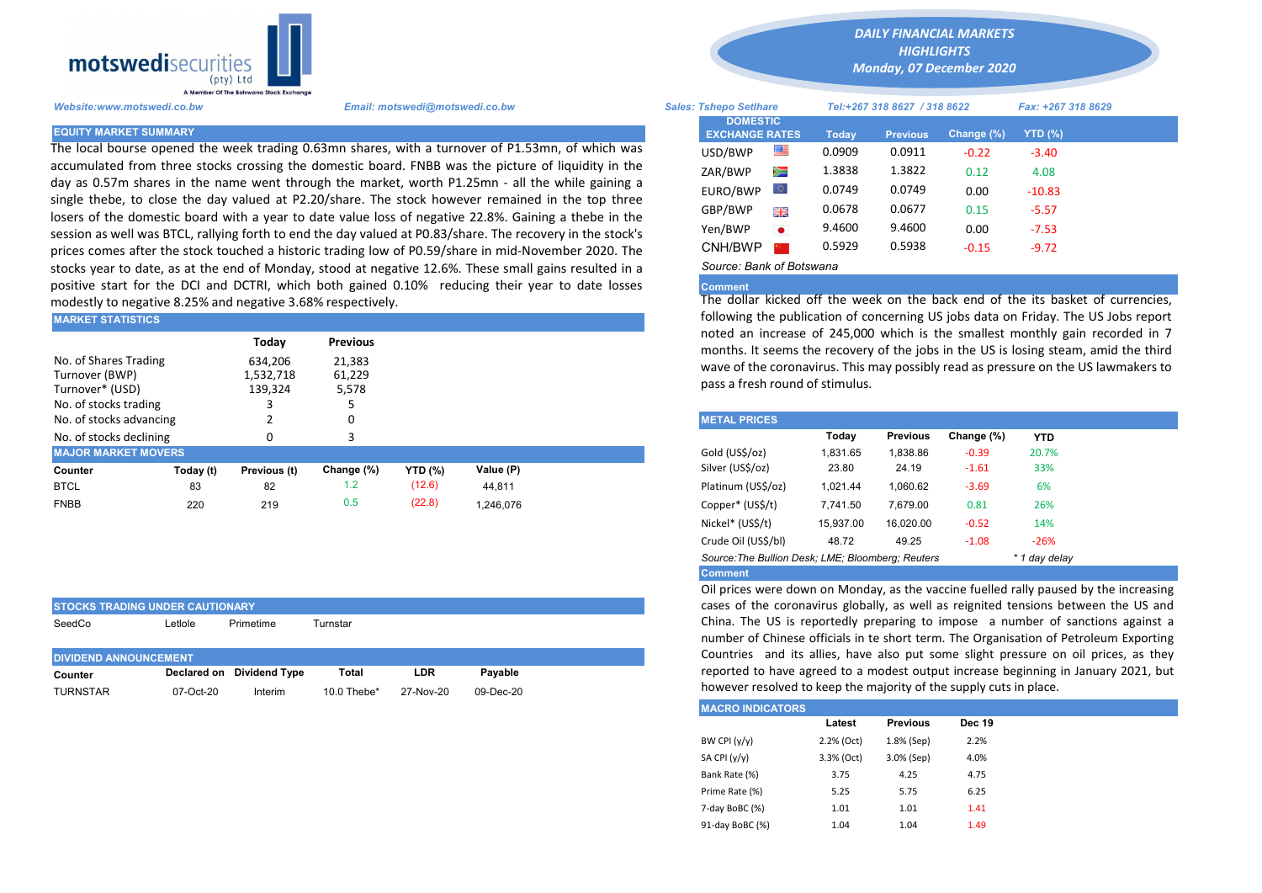

The local bourse opened the week trading 0.63mn shares, with a turnover of P1.53mn, of which was accumulated from three stocks crossing the domestic board. FNBB was the picture of liquidity in the day as 0.57m shares in the name went through the market, worth P1.25mn - all the while gaining a single thebe, to close the day valued at P2.20/share. The stock however remained in the top three losers of the domestic board with a year to date value loss of negative 22.8%. Gaining a thebe in the session as well was BTCL, rallying forth to end the day valued at P0.83/share. The recovery in the stock's prices comes after the stock touched a historic trading low of P0.59/share in mid-November 2020. The stocks year to date, as at the end of Monday, stood at negative 12.6%. These small gains resulted in a positive start for the DCI and DCTRI, which both gained 0.10% reducing their year to date losses modestly to negative 8.25% and negative 3.68% respectively.

| IMARKET STATISTICS                                                                                                                                  | TOHOWING the publication of concerning US JODS data on Friday. The |              |            |                |           |  |                                                                                                                                        |          |                 |            |            |  |  |  |  |
|-----------------------------------------------------------------------------------------------------------------------------------------------------|--------------------------------------------------------------------|--------------|------------|----------------|-----------|--|----------------------------------------------------------------------------------------------------------------------------------------|----------|-----------------|------------|------------|--|--|--|--|
| <b>Previous</b><br>Today                                                                                                                            |                                                                    |              |            |                |           |  | noted an increase of 245,000 which is the smallest monthly gain<br>months. It seems the recovery of the jobs in the US is losing steam |          |                 |            |            |  |  |  |  |
| No. of Shares Trading<br>634.206<br>21.383<br>Turnover (BWP)<br>61,229<br>1.532.718<br>139,324<br>5,578<br>Turnover* (USD)<br>No. of stocks trading |                                                                    |              |            |                |           |  | wave of the coronavirus. This may possibly read as pressure on the I<br>pass a fresh round of stimulus.                                |          |                 |            |            |  |  |  |  |
| No. of stocks advancing                                                                                                                             |                                                                    |              |            |                |           |  | <b>METAL PRICES</b>                                                                                                                    |          |                 |            |            |  |  |  |  |
| No. of stocks declining                                                                                                                             |                                                                    |              |            |                |           |  |                                                                                                                                        | Today    | <b>Previous</b> | Change (%) | <b>YTD</b> |  |  |  |  |
| <b>MAJOR MARKET MOVERS</b>                                                                                                                          |                                                                    |              |            |                |           |  | Gold (US\$/oz)                                                                                                                         | 1,831.65 | 1.838.86        | $-0.39$    | 20.7%      |  |  |  |  |
| Counter                                                                                                                                             | Today (t)                                                          | Previous (t) | Change (%) | <b>YTD (%)</b> | Value (P) |  | Silver (US\$/oz)                                                                                                                       | 23.80    | 24.19           | $-1.61$    | 33%        |  |  |  |  |
| <b>BTCL</b>                                                                                                                                         | 83                                                                 | 82           | 1.2        | (12.6)         | 44,811    |  | Platinum (US\$/oz)                                                                                                                     | 1.021.44 | 1,060.62        | $-3.69$    | 6%         |  |  |  |  |
| <b>FNBB</b>                                                                                                                                         | 220                                                                | 219          | 0.5        | (22.8)         | 1.246.076 |  | Copper* (US\$/t)                                                                                                                       | 7,741.50 | 7.679.00        | 0.81       | 26%        |  |  |  |  |

| <b>STOCKS TRADING UNDER CAUTIONARY</b>     |           |                           |                |            |             |  |  |  |  |  |  |
|--------------------------------------------|-----------|---------------------------|----------------|------------|-------------|--|--|--|--|--|--|
| SeedCo<br>Primetime<br>_etlole<br>Turnstar |           |                           |                |            |             |  |  |  |  |  |  |
|                                            |           |                           |                |            |             |  |  |  |  |  |  |
| <b>DIVIDEND ANNOUNCEMENT</b>               |           |                           |                |            |             |  |  |  |  |  |  |
| Counter                                    |           | Declared on Dividend Type | Total          | <b>LDR</b> | Pavable     |  |  |  |  |  |  |
| <b>TURNSTAR</b>                            | 07-Oct-20 | Interim                   | 10.0 Thebe $*$ | 27-Nov-20  | $09-Dec-20$ |  |  |  |  |  |  |

*DAILY FINANCIAL MARKETS*

*HIGHLIGHTS Monday, 07 December 2020* 

| A Member Of The Botswana Stock Exchange |                                                                                                                                                                                                      |                                          |           |        |                              |               |                    |  |
|-----------------------------------------|------------------------------------------------------------------------------------------------------------------------------------------------------------------------------------------------------|------------------------------------------|-----------|--------|------------------------------|---------------|--------------------|--|
| Website:www.motswedi.co.bw              | Email: motswedi@motswedi.co.bw                                                                                                                                                                       | <b>Sales: Tshepo Setlhare</b>            |           |        | Tel:+267 318 8627 / 318 8622 |               | Fax: +267 318 8629 |  |
| <b>EQUITY MARKET SUMMARY</b>            |                                                                                                                                                                                                      | <b>DOMESTIC</b><br><b>EXCHANGE RATES</b> |           | Today  | <b>Previous</b>              | Change $(\%)$ | $YTD(\%)$          |  |
|                                         | The local bourse opened the week trading 0.63mn shares, with a turnover of P1.53mn, of which was                                                                                                     | USD/BWP                                  | 等         | 0.0909 | 0.0911                       | $-0.22$       | $-3.40$            |  |
|                                         | accumulated from three stocks crossing the domestic board. FNBB was the picture of liquidity in the                                                                                                  | ZAR/BWP                                  | Ň         | 1.3838 | 1.3822                       | 0.12          | 4.08               |  |
|                                         | lay as 0.57m shares in the name went through the market, worth P1.25mn - all the while gaining a<br>ingle thebe, to close the day valued at P2.20/share. The stock however remained in the top three | EURO/BWP                                 | LO.       | 0.0749 | 0.0749                       | 0.00          | $-10.83$           |  |
|                                         | osers of the domestic board with a year to date value loss of negative 22.8%. Gaining a thebe in the                                                                                                 | GBP/BWP                                  | 開票        | 0.0678 | 0.0677                       | 0.15          | $-5.57$            |  |
|                                         | iession as well was BTCL, rallying forth to end the day valued at P0.83/share. The recovery in the stock's                                                                                           | Yen/BWP                                  | $\bullet$ | 9.4600 | 9.4600                       | 0.00          | $-7.53$            |  |
|                                         | orices comes after the stock touched a historic trading low of P0.59/share in mid-November 2020. The                                                                                                 | CNH/BWP                                  |           | 0.5929 | 0.5938                       | $-0.15$       | $-9.72$            |  |
|                                         | stocks year to date as at the end of Monday, stood at negative 12.6%. These small gains resulted in a                                                                                                | Source: Bank of Botswana                 |           |        |                              |               |                    |  |

## **Comment**

The dollar kicked off the week on the back end of the its basket of currencies, following the publication of concerning US jobs data on Friday. The US Jobs report noted an increase of 245,000 which is the smallest monthly gain recorded in 7 months. It seems the recovery of the jobs in the US is losing steam, amid the third wave of the coronavirus. This may possibly read as pressure on the US lawmakers to pass a fresh round of stimulus.

| <b>METAL PRICES</b>                               |           |                 |            |               |
|---------------------------------------------------|-----------|-----------------|------------|---------------|
|                                                   | Today     | <b>Previous</b> | Change (%) | <b>YTD</b>    |
| Gold (US\$/oz)                                    | 1.831.65  | 1.838.86        | $-0.39$    | 20.7%         |
| Silver (US\$/oz)                                  | 23.80     | 24.19           | $-1.61$    | 33%           |
| Platinum (US\$/oz)                                | 1.021.44  | 1.060.62        | $-3.69$    | 6%            |
| Copper* (US\$/t)                                  | 7.741.50  | 7.679.00        | 0.81       | 26%           |
| Nickel* (US\$/t)                                  | 15,937.00 | 16,020.00       | $-0.52$    | 14%           |
| Crude Oil (US\$/bl)                               | 48.72     | 49.25           | $-1.08$    | $-26%$        |
| Source: The Bullion Desk; LME; Bloomberg; Reuters |           |                 |            | * 1 day delay |
| Commont                                           |           |                 |            |               |

Comment

Oil prices were down on Monday, as the vaccine fuelled rally paused by the increasing cases of the coronavirus globally, as well as reignited tensions between the US and China. The US is reportedly preparing to impose a number of sanctions against a number of Chinese officials in te short term. The Organisation of Petroleum Exporting Countries and its allies, have also put some slight pressure on oil prices, as they reported to have agreed to a modest output increase beginning in January 2021, but however resolved to keep the majority of the supply cuts in place.

| <b>MACRO INDICATORS</b> |            |                 |               |
|-------------------------|------------|-----------------|---------------|
|                         | Latest     | <b>Previous</b> | <b>Dec 19</b> |
| BW CPI $(y/y)$          | 2.2% (Oct) | 1.8% (Sep)      | 2.2%          |
| SA CPI (y/y)            | 3.3% (Oct) | 3.0% (Sep)      | 4.0%          |
| Bank Rate (%)           | 3.75       | 4.25            | 4.75          |
| Prime Rate (%)          | 5.25       | 5.75            | 6.25          |
| 7-day BoBC (%)          | 1.01       | 1.01            | 1.41          |
| 91-day BoBC (%)         | 1.04       | 1.04            | 1.49          |